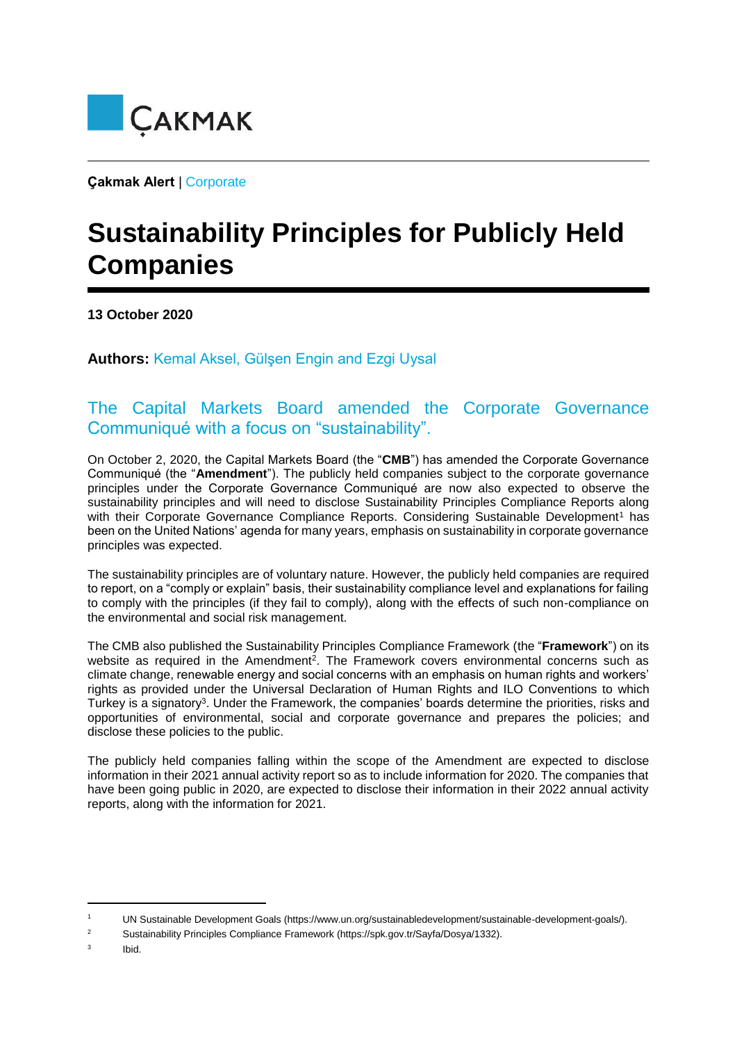

**Çakmak Alert** | Corporate

## **Sustainability Principles for Publicly Held Companies**

**13 October 2020** 

**Authors:** Kemal Aksel, Gülşen Engin and Ezgi Uysal

## The Capital Markets Board amended the Corporate Governance Communiqué with a focus on "sustainability".

On October 2, 2020, the Capital Markets Board (the "**CMB**") has amended the Corporate Governance Communiqué (the "**Amendment**"). The publicly held companies subject to the corporate governance principles under the Corporate Governance Communiqué are now also expected to observe the sustainability principles and will need to disclose Sustainability Principles Compliance Reports along with their Corporate Governance Compliance Reports. Considering Sustainable Development<sup>1</sup> has been on the United Nations' agenda for many years, emphasis on sustainability in corporate governance principles was expected.

The sustainability principles are of voluntary nature. However, the publicly held companies are required to report, on a "comply or explain" basis, their sustainability compliance level and explanations for failing to comply with the principles (if they fail to comply), along with the effects of such non-compliance on the environmental and social risk management.

The CMB also published the Sustainability Principles Compliance Framework (the "**Framework**") on its website as required in the Amendment<sup>2</sup>. The Framework covers environmental concerns such as climate change, renewable energy and social concerns with an emphasis on human rights and workers' rights as provided under the Universal Declaration of Human Rights and ILO Conventions to which Turkey is a signatory<sup>3</sup>. Under the Framework, the companies' boards determine the priorities, risks and opportunities of environmental, social and corporate governance and prepares the policies; and disclose these policies to the public.

The publicly held companies falling within the scope of the Amendment are expected to disclose information in their 2021 annual activity report so as to include information for 2020. The companies that have been going public in 2020, are expected to disclose their information in their 2022 annual activity reports, along with the information for 2021.

<sup>1</sup> UN Sustainable Development Goals (https://www.un.org/sustainabledevelopment/sustainable-development-goals/).

<sup>2</sup> Sustainability Principles Compliance Framework (https://spk.gov.tr/Sayfa/Dosya/1332).

 $\overline{3}$ Ibid.